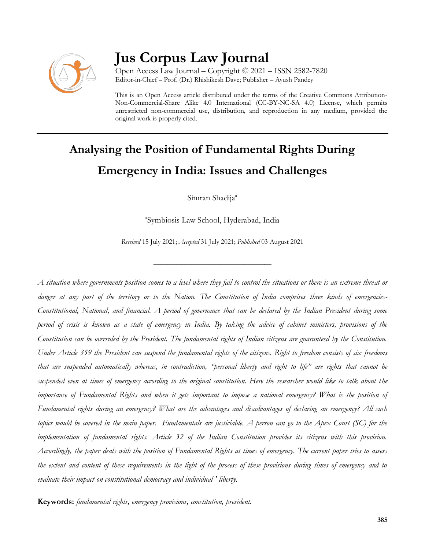

# **Jus Corpus Law Journal**

Open Access Law Journal – Copyright © 2021 – ISSN 2582-7820 Editor-in-Chief – Prof. (Dr.) Rhishikesh Dave; Publisher – Ayush Pandey

This is an Open Access article distributed under the terms of the Creative Commons Attribution-Non-Commercial-Share Alike 4.0 International (CC-BY-NC-SA 4.0) License, which permits unrestricted non-commercial use, distribution, and reproduction in any medium, provided the original work is properly cited.

# **Analysing the Position of Fundamental Rights During Emergency in India: Issues and Challenges**

Simran Shadija<sup>a</sup>

a Symbiosis Law School, Hyderabad, India

*Received* 15 July 2021; *Accepted* 31 July 2021; *Published* 03 August 2021

\_\_\_\_\_\_\_\_\_\_\_\_\_\_\_\_\_\_\_\_\_\_\_\_\_\_\_\_\_\_\_\_\_\_

*A situation where governments position comes to a level where they fail to control the situations or there is an extreme threat or danger at any part of the territory or to the Nation. The Constitution of India comprises three kinds of emergencies-Constitutional, National, and financial. A period of governance that can be declared by the Indian President during some period of crisis is known as a state of emergency in India. By taking the advice of cabinet ministers, provisions of the Constitution can be overruled by the President. The fundamental rights of Indian citizens are guaranteed by the Constitution. Under Article 359 the President can suspend the fundamental rights of the citizens. Right to freedom consists of six freedoms that are suspended automatically whereas, in contradiction, "personal liberty and right to life" are rights that cannot be suspended even at times of emergency according to the original constitution. Here the researcher would like to talk about the importance of Fundamental Rights and when it gets important to impose a national emergency? What is the position of Fundamental rights during an emergency? What are the advantages and disadvantages of declaring an emergency? All such topics would be covered in the main paper. Fundamentals are justiciable. A person can go to the Apex Court (SC) for the implementation of fundamental rights. Article 32 of the Indian Constitution provides its citizens with this provision. Accordingly, the paper deals with the position of Fundamental Rights at times of emergency. The current paper tries to assess the extent and content of these requirements in the light of the process of these provisions during times of emergency and to evaluate their impact on constitutional democracy and individual ' liberty.*

**Keywords:** *fundamental rights, emergency provisions, constitution, president.*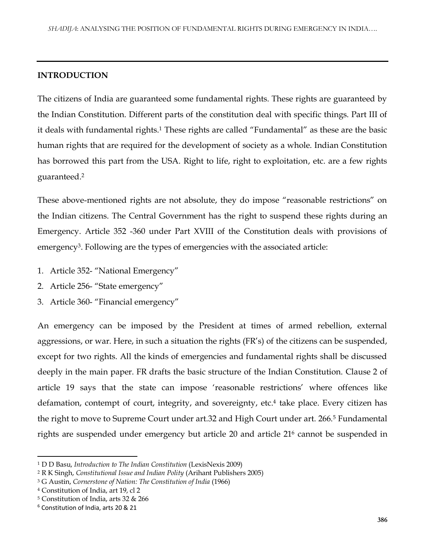#### **INTRODUCTION**

The citizens of India are guaranteed some fundamental rights. These rights are guaranteed by the Indian Constitution. Different parts of the constitution deal with specific things. Part III of it deals with fundamental rights.<sup>1</sup> These rights are called "Fundamental" as these are the basic human rights that are required for the development of society as a whole. Indian Constitution has borrowed this part from the USA. Right to life, right to exploitation, etc. are a few rights guaranteed.<sup>2</sup>

These above-mentioned rights are not absolute, they do impose "reasonable restrictions" on the Indian citizens. The Central Government has the right to suspend these rights during an Emergency. Article 352 -360 under Part XVIII of the Constitution deals with provisions of emergency<sup>3</sup> . Following are the types of emergencies with the associated article:

- 1. Article 352- "National Emergency"
- 2. Article 256- "State emergency"
- 3. Article 360- "Financial emergency"

An emergency can be imposed by the President at times of armed rebellion, external aggressions, or war. Here, in such a situation the rights (FR's) of the citizens can be suspended, except for two rights. All the kinds of emergencies and fundamental rights shall be discussed deeply in the main paper. FR drafts the basic structure of the Indian Constitution. Clause 2 of article 19 says that the state can impose 'reasonable restrictions' where offences like defamation, contempt of court, integrity, and sovereignty, etc.<sup>4</sup> take place. Every citizen has the right to move to Supreme Court under art.32 and High Court under art. 266.<sup>5</sup> Fundamental rights are suspended under emergency but article 20 and article 21<sup>6</sup> cannot be suspended in

<sup>1</sup> D D Basu, *Introduction to The Indian Constitution* (LexisNexis 2009)

<sup>2</sup> R K Singh, *Constitutional Issue and Indian Polity* (Arihant Publishers 2005)

<sup>3</sup> G Austin, *Cornerstone of Nation: The Constitution of India* (1966)

<sup>4</sup> Constitution of India, art 19, cl 2

<sup>5</sup> Constitution of India, arts 32 & 266

<sup>6</sup> Constitution of India, arts 20 & 21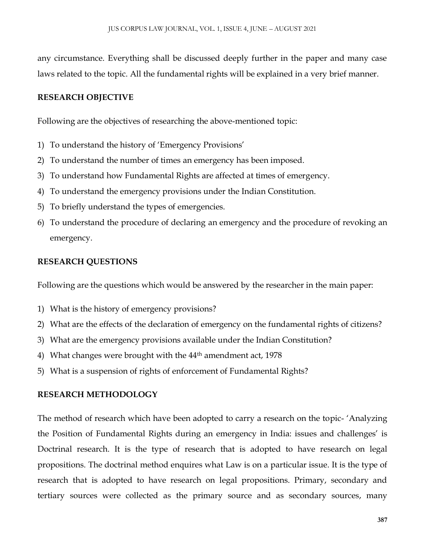any circumstance. Everything shall be discussed deeply further in the paper and many case laws related to the topic. All the fundamental rights will be explained in a very brief manner.

## **RESEARCH OBJECTIVE**

Following are the objectives of researching the above-mentioned topic:

- 1) To understand the history of 'Emergency Provisions'
- 2) To understand the number of times an emergency has been imposed.
- 3) To understand how Fundamental Rights are affected at times of emergency.
- 4) To understand the emergency provisions under the Indian Constitution.
- 5) To briefly understand the types of emergencies.
- 6) To understand the procedure of declaring an emergency and the procedure of revoking an emergency.

## **RESEARCH QUESTIONS**

Following are the questions which would be answered by the researcher in the main paper:

- 1) What is the history of emergency provisions?
- 2) What are the effects of the declaration of emergency on the fundamental rights of citizens?
- 3) What are the emergency provisions available under the Indian Constitution?
- 4) What changes were brought with the 44<sup>th</sup> amendment act, 1978
- 5) What is a suspension of rights of enforcement of Fundamental Rights?

#### **RESEARCH METHODOLOGY**

The method of research which have been adopted to carry a research on the topic- 'Analyzing the Position of Fundamental Rights during an emergency in India: issues and challenges' is Doctrinal research. It is the type of research that is adopted to have research on legal propositions. The doctrinal method enquires what Law is on a particular issue. It is the type of research that is adopted to have research on legal propositions. Primary, secondary and tertiary sources were collected as the primary source and as secondary sources, many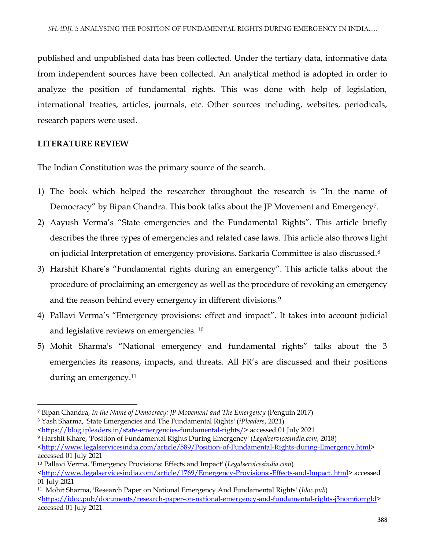published and unpublished data has been collected. Under the tertiary data, informative data from independent sources have been collected. An analytical method is adopted in order to analyze the position of fundamental rights. This was done with help of legislation, international treaties, articles, journals, etc. Other sources including, websites, periodicals, research papers were used.

# **LITERATURE REVIEW**

The Indian Constitution was the primary source of the search.

- 1) The book which helped the researcher throughout the research is "In the name of Democracy" by Bipan Chandra. This book talks about the JP Movement and Emergency<sup>7</sup>.
- 2) Aayush Verma's "State emergencies and the Fundamental Rights". This article briefly describes the three types of emergencies and related case laws. This article also throws light on judicial Interpretation of emergency provisions. Sarkaria Committee is also discussed.<sup>8</sup>
- 3) Harshit Khare's "Fundamental rights during an emergency". This article talks about the procedure of proclaiming an emergency as well as the procedure of revoking an emergency and the reason behind every emergency in different divisions.<sup>9</sup>
- 4) Pallavi Verma's "Emergency provisions: effect and impact". It takes into account judicial and legislative reviews on emergencies.  $^{10}$
- 5) Mohit Sharma's "National emergency and fundamental rights" talks about the 3 emergencies its reasons, impacts, and threats. All FR's are discussed and their positions during an emergency.<sup>11</sup>

 $\overline{\phantom{a}}$ <sup>7</sup> Bipan Chandra, *In the Name of Democracy: JP Movement and The Emergency* (Penguin 2017)

<sup>8</sup> Yash Sharma, 'State Emergencies and The Fundamental Rights' (*iPleaders*, 2021)

[<sup>&</sup>lt;https://blog.ipleaders.in/state-emergencies-fundamental-rights/>](https://blog.ipleaders.in/state-emergencies-fundamental-rights/) accessed 01 July 2021

<sup>9</sup> Harshit Khare, 'Position of Fundamental Rights During Emergency' (*Legalservicesindia.com*, 2018) [<http://www.legalservicesindia.com/article/589/Position-of-Fundamental-Rights-during-Emergency.html>](http://www.legalservicesindia.com/article/589/Position-of-Fundamental-Rights-during-Emergency.html)

accessed 01 July 2021

<sup>10</sup> Pallavi Verma, 'Emergency Provisions: Effects and Impact' (*Legalservicesindia.com*) [<http://www.legalservicesindia.com/article/1769/Emergency-Provisions:-Effects-and-Impact..html>](http://www.legalservicesindia.com/article/1769/Emergency-Provisions:-Effects-and-Impact..html)accessed 01 July 2021

<sup>11</sup> Mohit Sharma, 'Research Paper on National Emergency And Fundamental Rights' (*Idoc.pub*) [<https://idoc.pub/documents/research-paper-on-national-emergency-and-fundamental-rights-j3nom6orrgld>](https://idoc.pub/documents/research-paper-on-national-emergency-and-fundamental-rights-j3nom6orrgld) accessed 01 July 2021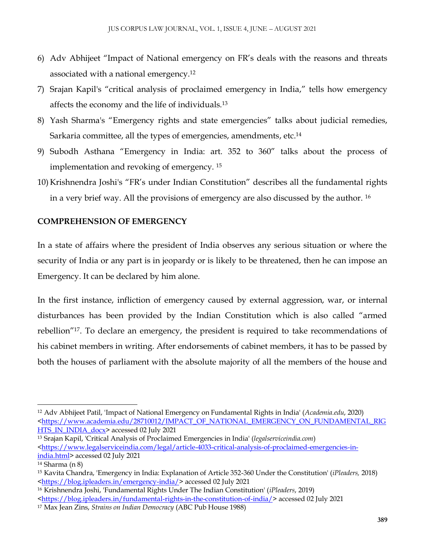- 6) Adv Abhijeet "Impact of National emergency on FR's deals with the reasons and threats associated with a national emergency.<sup>12</sup>
- 7) Srajan Kapil's "critical analysis of proclaimed emergency in India," tells how emergency affects the economy and the life of individuals.<sup>13</sup>
- 8) Yash Sharma's "Emergency rights and state emergencies" talks about judicial remedies, Sarkaria committee, all the types of emergencies, amendments, etc.<sup>14</sup>
- 9) Subodh Asthana "Emergency in India: art. 352 to 360" talks about the process of implementation and revoking of emergency. <sup>15</sup>
- 10) Krishnendra Joshi's "FR's under Indian Constitution" describes all the fundamental rights in a very brief way. All the provisions of emergency are also discussed by the author. <sup>16</sup>

## **COMPREHENSION OF EMERGENCY**

In a state of affairs where the president of India observes any serious situation or where the security of India or any part is in jeopardy or is likely to be threatened, then he can impose an Emergency. It can be declared by him alone.

In the first instance, infliction of emergency caused by external aggression, war, or internal disturbances has been provided by the Indian Constitution which is also called "armed rebellion"<sup>17</sup> . To declare an emergency, the president is required to take recommendations of his cabinet members in writing. After endorsements of cabinet members, it has to be passed by both the houses of parliament with the absolute majority of all the members of the house and

<sup>13</sup> Srajan Kapil, 'Critical Analysis of Proclaimed Emergencies in India' (*legalserviceindia.com*) [<https://www.legalserviceindia.com/legal/article-4033-critical-analysis-of-proclaimed-emergencies-in](https://www.legalserviceindia.com/legal/article-4033-critical-analysis-of-proclaimed-emergencies-in-india.html)[india.html>](https://www.legalserviceindia.com/legal/article-4033-critical-analysis-of-proclaimed-emergencies-in-india.html) accessed 02 July 2021

<sup>12</sup> Adv Abhijeet Patil, 'Impact of National Emergency on Fundamental Rights in India' (*Academia.edu*, 2020) [<https://www.academia.edu/28710012/IMPACT\\_OF\\_NATIONAL\\_EMERGENCY\\_ON\\_FUNDAMENTAL\\_RIG](https://www.academia.edu/28710012/IMPACT_OF_NATIONAL_EMERGENCY_ON_FUNDAMENTAL_RIGHTS_IN_INDIA_docx) [HTS\\_IN\\_INDIA\\_docx>](https://www.academia.edu/28710012/IMPACT_OF_NATIONAL_EMERGENCY_ON_FUNDAMENTAL_RIGHTS_IN_INDIA_docx) accessed 02 July 2021

<sup>14</sup> Sharma (n 8)

<sup>15</sup> Kavita Chandra, 'Emergency in India: Explanation of Article 352-360 Under the Constitution' (*iPleaders,* 2018) [<https://blog.ipleaders.in/emergency-india/>](https://blog.ipleaders.in/emergency-india/) accessed 02 July 2021

<sup>16</sup> Krishnendra Joshi, 'Fundamental Rights Under The Indian Constitution' (*iPleaders*, 2019)

[<sup>&</sup>lt;https://blog.ipleaders.in/fundamental-rights-in-the-constitution-of-india/>](https://blog.ipleaders.in/fundamental-rights-in-the-constitution-of-india/) accessed 02 July 2021

<sup>17</sup> Max Jean Zins, *Strains on Indian Democracy* (ABC Pub House 1988)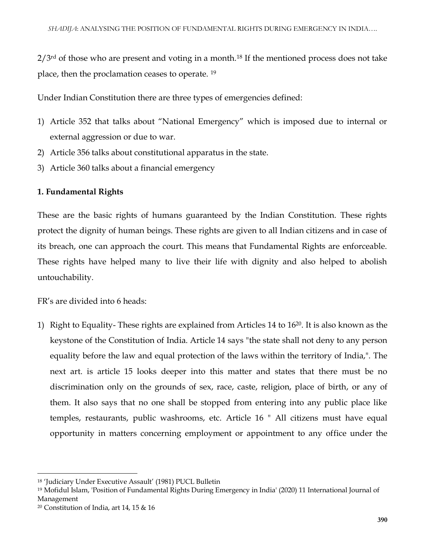$2/3$ <sup>rd</sup> of those who are present and voting in a month.<sup>18</sup> If the mentioned process does not take place, then the proclamation ceases to operate. <sup>19</sup>

Under Indian Constitution there are three types of emergencies defined:

- 1) Article 352 that talks about "National Emergency" which is imposed due to internal or external aggression or due to war.
- 2) Article 356 talks about constitutional apparatus in the state.
- 3) Article 360 talks about a financial emergency

#### **1. Fundamental Rights**

These are the basic rights of humans guaranteed by the Indian Constitution. These rights protect the dignity of human beings. These rights are given to all Indian citizens and in case of its breach, one can approach the court. This means that Fundamental Rights are enforceable. These rights have helped many to live their life with dignity and also helped to abolish untouchability.

FR's are divided into 6 heads:

1) Right to Equality- These rights are explained from Articles 14 to  $16^{20}$ . It is also known as the keystone of the Constitution of India. Article 14 says "the state shall not deny to any person equality before the law and equal protection of the laws within the territory of India,". The next art. is article 15 looks deeper into this matter and states that there must be no discrimination only on the grounds of sex, race, caste, religion, place of birth, or any of them. It also says that no one shall be stopped from entering into any public place like temples, restaurants, public washrooms, etc. Article 16 " All citizens must have equal opportunity in matters concerning employment or appointment to any office under the

<sup>18</sup> 'Judiciary Under Executive Assault' (1981) PUCL Bulletin

<sup>19</sup> Mofidul Islam, 'Position of Fundamental Rights During Emergency in India' (2020) 11 International Journal of Management

<sup>20</sup> Constitution of India, art 14, 15 & 16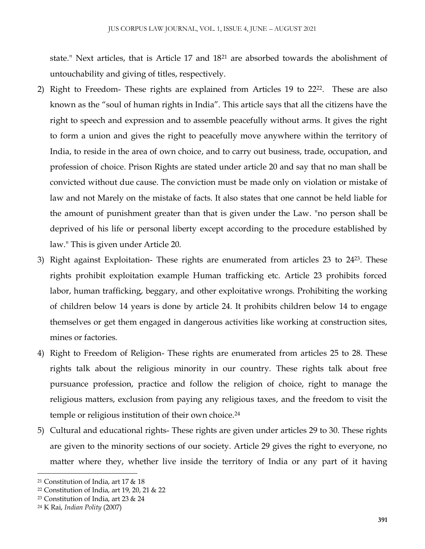state." Next articles, that is Article 17 and 18<sup>21</sup> are absorbed towards the abolishment of untouchability and giving of titles, respectively.

- 2) Right to Freedom- These rights are explained from Articles 19 to 22<sup>22</sup>. These are also known as the "soul of human rights in India". This article says that all the citizens have the right to speech and expression and to assemble peacefully without arms. It gives the right to form a union and gives the right to peacefully move anywhere within the territory of India, to reside in the area of own choice, and to carry out business, trade, occupation, and profession of choice. Prison Rights are stated under article 20 and say that no man shall be convicted without due cause. The conviction must be made only on violation or mistake of law and not Marely on the mistake of facts. It also states that one cannot be held liable for the amount of punishment greater than that is given under the Law. "no person shall be deprived of his life or personal liberty except according to the procedure established by law." This is given under Article 20.
- 3) Right against Exploitation- These rights are enumerated from articles 23 to 2423. These rights prohibit exploitation example Human trafficking etc. Article 23 prohibits forced labor, human trafficking, beggary, and other exploitative wrongs. Prohibiting the working of children below 14 years is done by article 24. It prohibits children below 14 to engage themselves or get them engaged in dangerous activities like working at construction sites, mines or factories.
- 4) Right to Freedom of Religion- These rights are enumerated from articles 25 to 28. These rights talk about the religious minority in our country. These rights talk about free pursuance profession, practice and follow the religion of choice, right to manage the religious matters, exclusion from paying any religious taxes, and the freedom to visit the temple or religious institution of their own choice.<sup>24</sup>
- 5) Cultural and educational rights- These rights are given under articles 29 to 30. These rights are given to the minority sections of our society. Article 29 gives the right to everyone, no matter where they, whether live inside the territory of India or any part of it having

 $\overline{\phantom{a}}$ <sup>21</sup> Constitution of India, art 17 & 18

<sup>22</sup> Constitution of India, art 19, 20, 21 & 22

<sup>23</sup> Constitution of India, art 23 & 24

<sup>24</sup> K Rai, *Indian Polity* (2007)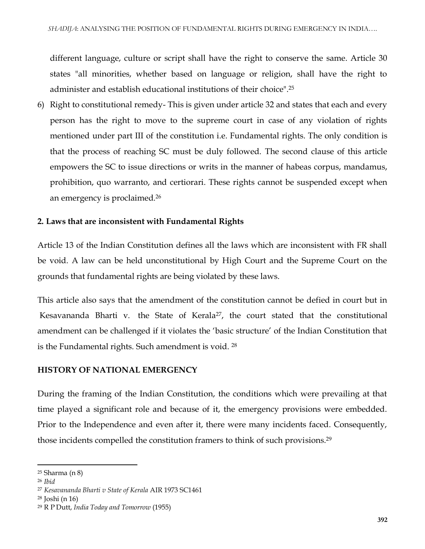different language, culture or script shall have the right to conserve the same. Article 30 states "all minorities, whether based on language or religion, shall have the right to administer and establish educational institutions of their choice".<sup>25</sup>

6) Right to constitutional remedy- This is given under article 32 and states that each and every person has the right to move to the supreme court in case of any violation of rights mentioned under part III of the constitution i.e. Fundamental rights. The only condition is that the process of reaching SC must be duly followed. The second clause of this article empowers the SC to issue directions or writs in the manner of habeas corpus, mandamus, prohibition, quo warranto, and certiorari. These rights cannot be suspended except when an emergency is proclaimed.<sup>26</sup>

### **2. Laws that are inconsistent with Fundamental Rights**

Article 13 of the Indian Constitution defines all the laws which are inconsistent with FR shall be void. A law can be held unconstitutional by High Court and the Supreme Court on the grounds that fundamental rights are being violated by these laws.

This article also says that the amendment of the constitution cannot be defied in court but in [Kesavananda Bharti v. the State of Kerala](https://indiankanoon.org/doc/257876/)<sup>27</sup>, the court stated that the constitutional amendment can be challenged if it violates the 'basic structure' of the Indian Constitution that is the Fundamental rights. Such amendment is void. <sup>28</sup>

#### **HISTORY OF NATIONAL EMERGENCY**

During the framing of the Indian Constitution, the conditions which were prevailing at that time played a significant role and because of it, the emergency provisions were embedded. Prior to the Independence and even after it, there were many incidents faced. Consequently, those incidents compelled the constitution framers to think of such provisions.<sup>29</sup>

 $\overline{a}$ 

<sup>25</sup> Sharma (n 8)

<sup>26</sup> *Ibid*

<sup>27</sup> *[Kesavananda Bharti v State of Kerala](https://indiankanoon.org/doc/257876/)* AIR 1973 SC1461

<sup>28</sup> Joshi (n 16)

<sup>29</sup> R P Dutt, *India Today and Tomorrow* (1955)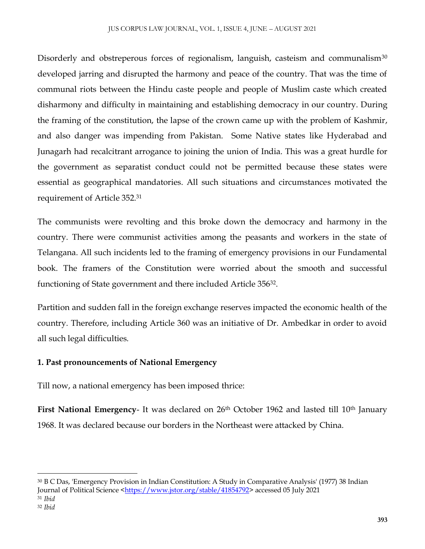Disorderly and obstreperous forces of regionalism, languish, casteism and communalism<sup>30</sup> developed jarring and disrupted the harmony and peace of the country. That was the time of communal riots between the Hindu caste people and people of Muslim caste which created disharmony and difficulty in maintaining and establishing democracy in our country. During the framing of the constitution, the lapse of the crown came up with the problem of Kashmir, and also danger was impending from Pakistan. Some Native states like Hyderabad and Junagarh had recalcitrant arrogance to joining the union of India. This was a great hurdle for the government as separatist conduct could not be permitted because these states were essential as geographical mandatories. All such situations and circumstances motivated the requirement of Article 352.<sup>31</sup>

The communists were revolting and this broke down the democracy and harmony in the country. There were communist activities among the peasants and workers in the state of Telangana. All such incidents led to the framing of emergency provisions in our Fundamental book. The framers of the Constitution were worried about the smooth and successful functioning of State government and there included Article 356<sup>32</sup>.

Partition and sudden fall in the foreign exchange reserves impacted the economic health of the country. Therefore, including Article 360 was an initiative of Dr. Ambedkar in order to avoid all such legal difficulties.

# **1. Past pronouncements of National Emergency**

Till now, a national emergency has been imposed thrice:

First National Emergency- It was declared on 26<sup>th</sup> October 1962 and lasted till 10<sup>th</sup> January 1968. It was declared because our borders in the Northeast were attacked by China.

<sup>30</sup> B C Das, 'Emergency Provision in Indian Constitution: A Study in Comparative Analysis' (1977) 38 Indian Journal of Political Science [<https://www.jstor.org/stable/41854792>](https://www.jstor.org/stable/41854792) accessed 05 July 2021 <sup>31</sup> *Ibid*

<sup>32</sup> *Ibid*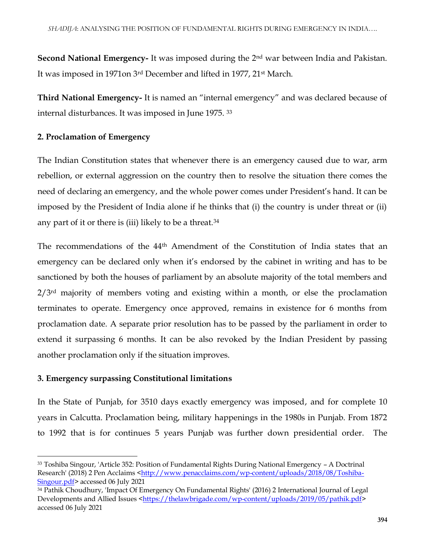**Second National Emergency-** It was imposed during the 2<sup>nd</sup> war between India and Pakistan. It was imposed in 1971on 3rd December and lifted in 1977, 21st March.

**Third National Emergency-** It is named an "internal emergency" and was declared because of internal disturbances. It was imposed in June 1975. <sup>33</sup>

## **2. Proclamation of Emergency**

The Indian Constitution states that whenever there is an emergency caused due to war, arm rebellion, or external aggression on the country then to resolve the situation there comes the need of declaring an emergency, and the whole power comes under President's hand. It can be imposed by the President of India alone if he thinks that (i) the country is under threat or (ii) any part of it or there is (iii) likely to be a threat.<sup>34</sup>

The recommendations of the 44th Amendment of the Constitution of India states that an emergency can be declared only when it's endorsed by the cabinet in writing and has to be sanctioned by both the houses of parliament by an absolute majority of the total members and 2/3<sup>rd</sup> majority of members voting and existing within a month, or else the proclamation terminates to operate. Emergency once approved, remains in existence for 6 months from proclamation date. A separate prior resolution has to be passed by the parliament in order to extend it surpassing 6 months. It can be also revoked by the Indian President by passing another proclamation only if the situation improves.

#### **3. Emergency surpassing Constitutional limitations**

 $\overline{a}$ 

In the State of Punjab, for 3510 days exactly emergency was imposed, and for complete 10 years in Calcutta. Proclamation being, military happenings in the 1980s in Punjab. From 1872 to 1992 that is for continues 5 years Punjab was further down presidential order. The

<sup>33</sup> Toshiba Singour, 'Article 352: Position of Fundamental Rights During National Emergency – A Doctrinal Research' (2018) 2 Pen Acclaims [<http://www.penacclaims.com/wp-content/uploads/2018/08/Toshiba-](http://www.penacclaims.com/wp-content/uploads/2018/08/Toshiba-Singour.pdf)[Singour.pdf>](http://www.penacclaims.com/wp-content/uploads/2018/08/Toshiba-Singour.pdf) accessed 06 July 2021

<sup>34</sup> Pathik Choudhury, 'Impact Of Emergency On Fundamental Rights' (2016) 2 International Journal of Legal Developments and Allied Issues [<https://thelawbrigade.com/wp-content/uploads/2019/05/pathik.pdf>](https://thelawbrigade.com/wp-content/uploads/2019/05/pathik.pdf) accessed 06 July 2021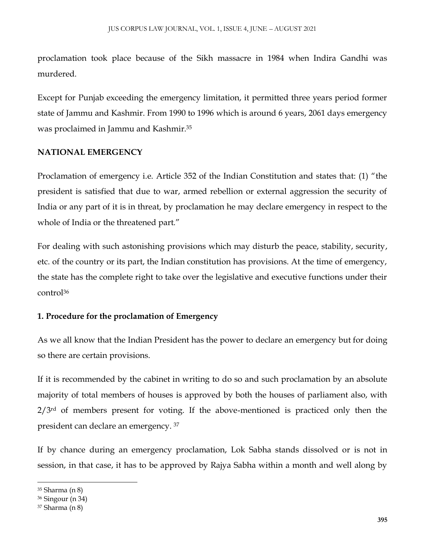proclamation took place because of the Sikh massacre in 1984 when Indira Gandhi was murdered.

Except for Punjab exceeding the emergency limitation, it permitted three years period former state of Jammu and Kashmir. From 1990 to 1996 which is around 6 years, 2061 days emergency was proclaimed in Jammu and Kashmir.<sup>35</sup>

#### **NATIONAL EMERGENCY**

Proclamation of emergency i.e. Article 352 of the Indian Constitution and states that: (1) "the president is satisfied that due to war, armed rebellion or external aggression the security of India or any part of it is in threat, by proclamation he may declare emergency in respect to the whole of India or the threatened part."

For dealing with such astonishing provisions which may disturb the peace, stability, security, etc. of the country or its part, the Indian constitution has provisions. At the time of emergency, the state has the complete right to take over the legislative and executive functions under their control<sup>36</sup>

#### **1. Procedure for the proclamation of Emergency**

As we all know that the Indian President has the power to declare an emergency but for doing so there are certain provisions.

If it is recommended by the cabinet in writing to do so and such proclamation by an absolute majority of total members of houses is approved by both the houses of parliament also, with  $2/3<sup>rd</sup>$  of members present for voting. If the above-mentioned is practiced only then the president can declare an emergency. <sup>37</sup>

If by chance during an emergency proclamation, Lok Sabha stands dissolved or is not in session, in that case, it has to be approved by Rajya Sabha within a month and well along by

<sup>35</sup> Sharma (n 8)

<sup>36</sup> Singour (n 34)

<sup>37</sup> Sharma (n 8)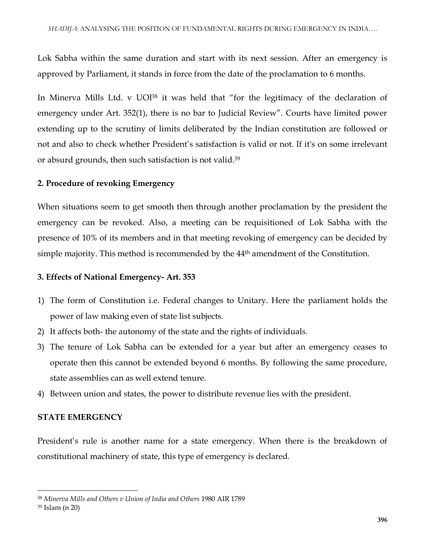Lok Sabha within the same duration and start with its next session. After an emergency is approved by Parliament, it stands in force from the date of the proclamation to 6 months.

In Minerva Mills Ltd. v UOI<sup>38</sup> it was held that "for the legitimacy of the declaration of emergency under Art. 352(1), there is no bar to Judicial Review". Courts have limited power extending up to the scrutiny of limits deliberated by the Indian constitution are followed or not and also to check whether President's satisfaction is valid or not. If it's on some irrelevant or absurd grounds, then such satisfaction is not valid.<sup>39</sup>

### **2. Procedure of revoking Emergency**

When situations seem to get smooth then through another proclamation by the president the emergency can be revoked. Also, a meeting can be requisitioned of Lok Sabha with the presence of 10% of its members and in that meeting revoking of emergency can be decided by simple majority. This method is recommended by the 44<sup>th</sup> amendment of the Constitution.

#### **3. Effects of National Emergency- Art. 353**

- 1) The form of Constitution i.e. Federal changes to Unitary. Here the parliament holds the power of law making even of state list subjects.
- 2) It affects both- the autonomy of the state and the rights of individuals.
- 3) The tenure of Lok Sabha can be extended for a year but after an emergency ceases to operate then this cannot be extended beyond 6 months. By following the same procedure, state assemblies can as well extend tenure.
- 4) Between union and states, the power to distribute revenue lies with the president.

## **STATE EMERGENCY**

President's rule is another name for a state emergency. When there is the breakdown of constitutional machinery of state, this type of emergency is declared.

<sup>38</sup> *Minerva Mills and Others v Union of India and Others* 1980 AIR 1789

<sup>39</sup> Islam (n 20)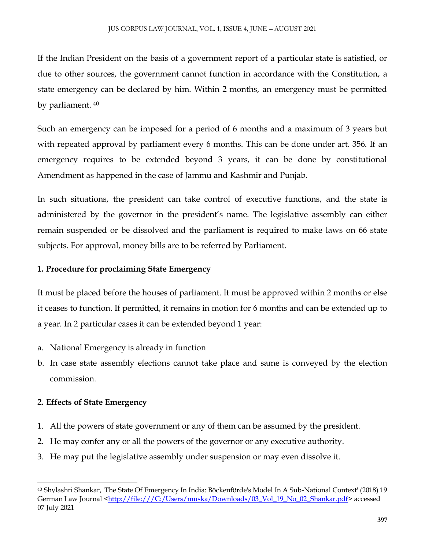If the Indian President on the basis of a government report of a particular state is satisfied, or due to other sources, the government cannot function in accordance with the Constitution, a state emergency can be declared by him. Within 2 months, an emergency must be permitted by parliament. <sup>40</sup>

Such an emergency can be imposed for a period of 6 months and a maximum of 3 years but with repeated approval by parliament every 6 months. This can be done under art. 356. If an emergency requires to be extended beyond 3 years, it can be done by constitutional Amendment as happened in the case of Jammu and Kashmir and Punjab.

In such situations, the president can take control of executive functions, and the state is administered by the governor in the president's name. The legislative assembly can either remain suspended or be dissolved and the parliament is required to make laws on 66 state subjects. For approval, money bills are to be referred by Parliament.

## **1. Procedure for proclaiming State Emergency**

It must be placed before the houses of parliament. It must be approved within 2 months or else it ceases to function. If permitted, it remains in motion for 6 months and can be extended up to a year. In 2 particular cases it can be extended beyond 1 year:

- a. National Emergency is already in function
- b. In case state assembly elections cannot take place and same is conveyed by the election commission.

# **2. Effects of State Emergency**

- 1. All the powers of state government or any of them can be assumed by the president.
- 2. He may confer any or all the powers of the governor or any executive authority.
- 3. He may put the legislative assembly under suspension or may even dissolve it.

 $\overline{\phantom{a}}$ <sup>40</sup> Shylashri Shankar, 'The State Of Emergency In India: Böckenförde's Model In A Sub-National Context' (2018) 19 German Law Journal [<http://file:///C:/Users/muska/Downloads/03\\_Vol\\_19\\_No\\_02\\_Shankar.pdf>](http://file/C:/Users/muska/Downloads/03_Vol_19_No_02_Shankar.pdf) accessed 07 July 2021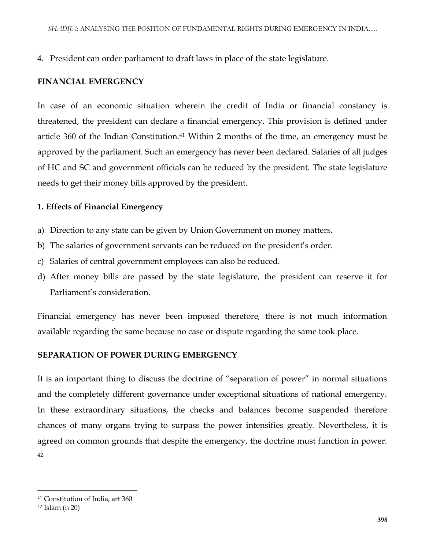4. President can order parliament to draft laws in place of the state legislature.

## **FINANCIAL EMERGENCY**

In case of an economic situation wherein the credit of India or financial constancy is threatened, the president can declare a financial emergency. This provision is defined under article 360 of the Indian Constitution.<sup>41</sup> Within 2 months of the time, an emergency must be approved by the parliament. Such an emergency has never been declared. Salaries of all judges of HC and SC and government officials can be reduced by the president. The state legislature needs to get their money bills approved by the president.

#### **1. Effects of Financial Emergency**

- a) Direction to any state can be given by Union Government on money matters.
- b) The salaries of government servants can be reduced on the president's order.
- c) Salaries of central government employees can also be reduced.
- d) After money bills are passed by the state legislature, the president can reserve it for Parliament's consideration.

Financial emergency has never been imposed therefore, there is not much information available regarding the same because no case or dispute regarding the same took place.

## **SEPARATION OF POWER DURING EMERGENCY**

It is an important thing to discuss the doctrine of "separation of power" in normal situations and the completely different governance under exceptional situations of national emergency. In these extraordinary situations, the checks and balances become suspended therefore chances of many organs trying to surpass the power intensifies greatly. Nevertheless, it is agreed on common grounds that despite the emergency, the doctrine must function in power. 42

<sup>41</sup> Constitution of India, art 360

<sup>42</sup> Islam (n 20)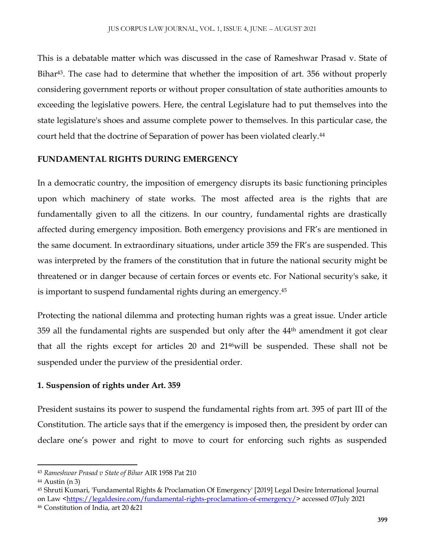This is a debatable matter which was discussed in the case of Rameshwar Prasad v. State of Bihar<sup>43</sup>. The case had to determine that whether the imposition of art. 356 without properly considering government reports or without proper consultation of state authorities amounts to exceeding the legislative powers. Here, the central Legislature had to put themselves into the state legislature's shoes and assume complete power to themselves. In this particular case, the court held that the doctrine of Separation of power has been violated clearly.<sup>44</sup>

## **FUNDAMENTAL RIGHTS DURING EMERGENCY**

In a democratic country, the imposition of emergency disrupts its basic functioning principles upon which machinery of state works. The most affected area is the rights that are fundamentally given to all the citizens. In our country, fundamental rights are drastically affected during emergency imposition. Both emergency provisions and FR's are mentioned in the same document. In extraordinary situations, under article 359 the FR's are suspended. This was interpreted by the framers of the constitution that in future the national security might be threatened or in danger because of certain forces or events etc. For National security's sake, it is important to suspend fundamental rights during an emergency.<sup>45</sup>

Protecting the national dilemma and protecting human rights was a great issue. Under article 359 all the fundamental rights are suspended but only after the  $44<sup>th</sup>$  amendment it got clear that all the rights except for articles 20 and 2146will be suspended. These shall not be suspended under the purview of the presidential order.

# **1. Suspension of rights under Art. 359**

President sustains its power to suspend the fundamental rights from art. 395 of part III of the Constitution. The article says that if the emergency is imposed then, the president by order can declare one's power and right to move to court for enforcing such rights as suspended

 $\overline{a}$ <sup>43</sup> *Rameshwar Prasad v State of Bihar* AIR 1958 Pat 210

 $44$  Austin (n 3)

<sup>45</sup> Shruti Kumari, 'Fundamental Rights & Proclamation Of Emergency' [2019] Legal Desire International Journal on Law [<https://legaldesire.com/fundamental-rights-proclamation-of-emergency/>](https://legaldesire.com/fundamental-rights-proclamation-of-emergency/) accessed 07July 2021

<sup>46</sup> Constitution of India, art 20 &21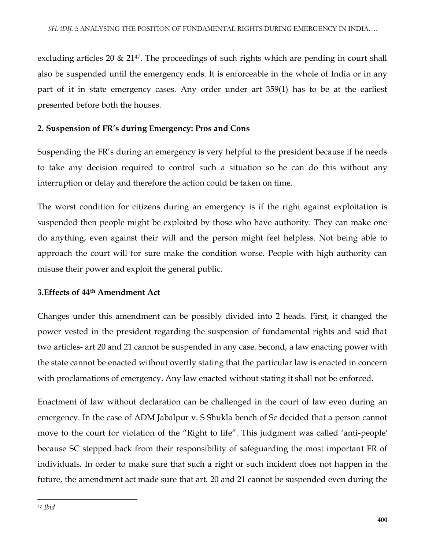excluding articles 20 & 21<sup>47</sup>. The proceedings of such rights which are pending in court shall also be suspended until the emergency ends. It is enforceable in the whole of India or in any part of it in state emergency cases. Any order under art 359(1) has to be at the earliest presented before both the houses.

# **2. Suspension of FR's during Emergency: Pros and Cons**

Suspending the FR's during an emergency is very helpful to the president because if he needs to take any decision required to control such a situation so he can do this without any interruption or delay and therefore the action could be taken on time.

The worst condition for citizens during an emergency is if the right against exploitation is suspended then people might be exploited by those who have authority. They can make one do anything, even against their will and the person might feel helpless. Not being able to approach the court will for sure make the condition worse. People with high authority can misuse their power and exploit the general public.

# **3.Effects of 44th Amendment Act**

Changes under this amendment can be possibly divided into 2 heads. First, it changed the power vested in the president regarding the suspension of fundamental rights and said that two articles- art 20 and 21 cannot be suspended in any case. Second, a law enacting power with the state cannot be enacted without overtly stating that the particular law is enacted in concern with proclamations of emergency. Any law enacted without stating it shall not be enforced.

Enactment of law without declaration can be challenged in the court of law even during an emergency. In the case of ADM Jabalpur v. S Shukla bench of Sc decided that a person cannot move to the court for violation of the "Right to life". This judgment was called 'anti-people' because SC stepped back from their responsibility of safeguarding the most important FR of individuals. In order to make sure that such a right or such incident does not happen in the future, the amendment act made sure that art. 20 and 21 cannot be suspended even during the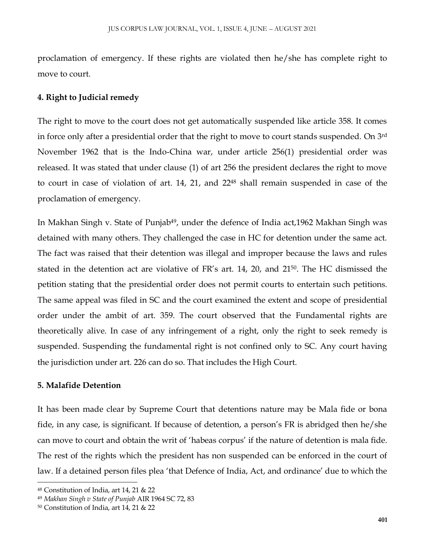proclamation of emergency. If these rights are violated then he/she has complete right to move to court.

#### **4. Right to Judicial remedy**

The right to move to the court does not get automatically suspended like article 358. It comes in force only after a presidential order that the right to move to court stands suspended. On 3rd November 1962 that is the Indo-China war, under article 256(1) presidential order was released. It was stated that under clause (1) of art 256 the president declares the right to move to court in case of violation of art. 14, 21, and 22<sup>48</sup> shall remain suspended in case of the proclamation of emergency.

In Makhan Singh v. State of Punjab<sup>49</sup>, under the defence of India act, 1962 Makhan Singh was detained with many others. They challenged the case in HC for detention under the same act. The fact was raised that their detention was illegal and improper because the laws and rules stated in the detention act are violative of FR's art. 14, 20, and 2150. The HC dismissed the petition stating that the presidential order does not permit courts to entertain such petitions. The same appeal was filed in SC and the court examined the extent and scope of presidential order under the ambit of art. 359. The court observed that the Fundamental rights are theoretically alive. In case of any infringement of a right, only the right to seek remedy is suspended. Suspending the fundamental right is not confined only to SC. Any court having the jurisdiction under art. 226 can do so. That includes the High Court.

#### **5. Malafide Detention**

 $\overline{\phantom{a}}$ 

It has been made clear by Supreme Court that detentions nature may be Mala fide or bona fide, in any case, is significant. If because of detention, a person's FR is abridged then he/she can move to court and obtain the writ of 'habeas corpus' if the nature of detention is mala fide. The rest of the rights which the president has non suspended can be enforced in the court of law. If a detained person files plea 'that Defence of India, Act, and ordinance' due to which the

<sup>48</sup> Constitution of India, art 14, 21 & 22

<sup>49</sup> *Makhan Singh v State of Punjab* AIR 1964 SC 72, 83

<sup>50</sup> Constitution of India, art 14, 21 & 22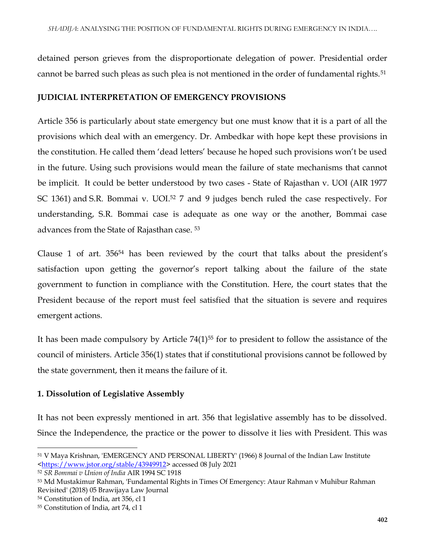detained person grieves from the disproportionate delegation of power. Presidential order cannot be barred such pleas as such plea is not mentioned in the order of fundamental rights.<sup>51</sup>

## **JUDICIAL INTERPRETATION OF EMERGENCY PROVISIONS**

Article 356 is particularly about state emergency but one must know that it is a part of all the provisions which deal with an emergency. Dr. Ambedkar with hope kept these provisions in the constitution. He called them 'dead letters' because he hoped such provisions won't be used in the future. Using such provisions would mean the failure of state mechanisms that cannot be implicit. It could be better understood by two cases - [State of Rajasthan v. UOI \(AIR 1977](https://indiankanoon.org/doc/174974/)  [SC 1361\)](https://indiankanoon.org/doc/174974/) and [S.R. Bommai v. UOI.](https://indiankanoon.org/doc/60799/)<sup>52</sup> 7 and 9 judges bench ruled the case respectively. For understanding, S.R. Bommai case is adequate as one way or the another, Bommai case advances from the State of Rajasthan case. <sup>53</sup>

Clause 1 of art. 356<sup>54</sup> has been reviewed by the court that talks about the president's satisfaction upon getting the governor's report talking about the failure of the state government to function in compliance with the Constitution. Here, the court states that the President because of the report must feel satisfied that the situation is severe and requires emergent actions.

It has been made compulsory by Article 74(1)<sup>55</sup> for to president to follow the assistance of the council of ministers. Article 356(1) states that if constitutional provisions cannot be followed by the state government, then it means the failure of it.

# **1. Dissolution of Legislative Assembly**

It has not been expressly mentioned in art. 356 that legislative assembly has to be dissolved. Since the Independence, the practice or the power to dissolve it lies with President. This was

<sup>54</sup> Constitution of India, art 356, cl 1

 $\overline{a}$ <sup>51</sup> V Maya Krishnan, 'EMERGENCY AND PERSONAL LIBERTY' (1966) 8 Journal of the Indian Law Institute [<https://www.jstor.org/stable/43949912>](https://www.jstor.org/stable/43949912) accessed 08 July 2021

<sup>52</sup> *SR Bommai v Union of India* AIR 1994 SC 1918

<sup>53</sup> Md Mustakimur Rahman, 'Fundamental Rights in Times Of Emergency: Ataur Rahman v Muhibur Rahman Revisited' (2018) 05 Brawijaya Law Journal

<sup>55</sup> Constitution of India, art 74, cl 1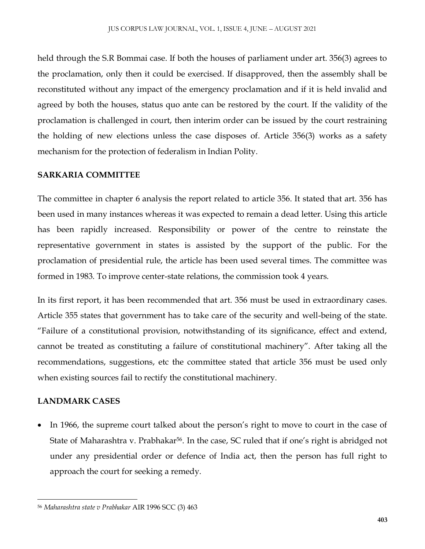held through the S.R Bommai case. If both the houses of parliament under art. 356(3) agrees to the proclamation, only then it could be exercised. If disapproved, then the assembly shall be reconstituted without any impact of the emergency proclamation and if it is held invalid and agreed by both the houses, status quo ante can be restored by the court. If the validity of the proclamation is challenged in court, then interim order can be issued by the court restraining the holding of new elections unless the case disposes of. Article 356(3) works as a safety mechanism for the protection of federalism in Indian Polity.

## **SARKARIA COMMITTEE**

The committee in chapter 6 analysis the report related to article 356. It stated that art. 356 has been used in many instances whereas it was expected to remain a dead letter. Using this article has been rapidly increased. Responsibility or power of the centre to reinstate the representative government in states is assisted by the support of the public. For the proclamation of presidential rule, the article has been used several times. The committee was formed in 1983. To improve center-state relations, the commission took 4 years.

In its first report, it has been recommended that art. 356 must be used in extraordinary cases. Article 355 states that government has to take care of the security and well-being of the state. "Failure of a constitutional provision, notwithstanding of its significance, effect and extend, cannot be treated as constituting a failure of constitutional machinery". After taking all the recommendations, suggestions, etc the committee stated that article 356 must be used only when existing sources fail to rectify the constitutional machinery.

## **LANDMARK CASES**

 $\overline{\phantom{a}}$ 

 In 1966, the supreme court talked about the person's right to move to court in the case of State of Maharashtra v. Prabhakar<sup>56</sup>. In the case, SC ruled that if one's right is abridged not under any presidential order or defence of India act, then the person has full right to approach the court for seeking a remedy.

<sup>56</sup> *Maharashtra state v Prabhakar* AIR 1996 SCC (3) 463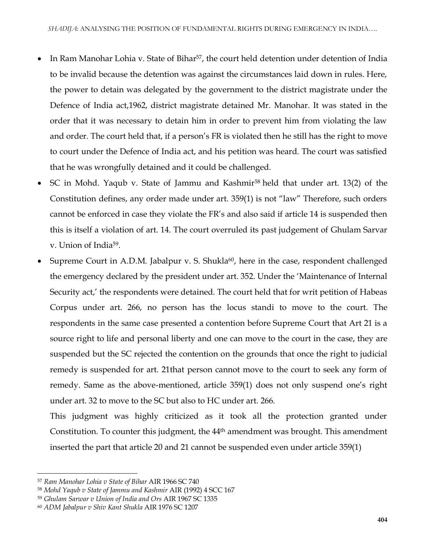- In [Ram Manohar Lohia v.](https://indiankanoon.org/doc/1733535/) State of Bihar<sup>57</sup>, the court held detention under detention of India to be invalid because the detention was against the circumstances laid down in rules. Here, the power to detain was delegated by the government to the district magistrate under the Defence of India act,1962, district magistrate detained Mr. Manohar. It was stated in the order that it was necessary to detain him in order to prevent him from violating the law and order. The court held that, if a person's FR is violated then he still has the right to move to court under the Defence of India act, and his petition was heard. The court was satisfied that he was wrongfully detained and it could be challenged.
- SC in [Mohd. Yaqub v. State of Jammu and Kashmir](https://indiankanoon.org/doc/1436792/)<sup>58</sup> held that under art. 13(2) of the Constitution defines, any order made under art. 359(1) is not "law" Therefore, such orders cannot be enforced in case they violate the FR's and also said if article 14 is suspended then this is itself a violation of art. 14. The court overruled its past judgement of [Ghulam Sarvar](https://indiankanoon.org/doc/924262/)  [v. Union of India](https://indiankanoon.org/doc/924262/)<sup>59</sup> .
- Supreme Court in A.D.M. Jabalpur v. S. Shukla<sup>60</sup>, here in the case, respondent challenged the emergency declared by the president under art. 352. Under the 'Maintenance of Internal Security act,' the respondents were detained. The court held that for writ petition of Habeas Corpus under art. 266, no person has the locus standi to move to the court. The respondents in the same case presented a contention before Supreme Court that Art 21 is a source right to life and personal liberty and one can move to the court in the case, they are suspended but the SC rejected the contention on the grounds that once the right to judicial remedy is suspended for art. 21that person cannot move to the court to seek any form of remedy. Same as the above-mentioned, article 359(1) does not only suspend one's right under art. 32 to move to the SC but also to HC under art. 266.

This judgment was highly criticized as it took all the protection granted under Constitution. To counter this judgment, the 44th amendment was brought. This amendment inserted the part that article 20 and 21 cannot be suspended even under article 359(1)

<sup>57</sup> *Ram Manohar Lohia v State of Bihar* AIR 1966 SC 740

<sup>58</sup> *Mohd Yaqub v State of Jammu and Kashmir* AIR (1992) 4 SCC 167

<sup>59</sup> *Ghulam Sarwar v Union of India and Ors* AIR 1967 SC 1335

<sup>60</sup> *ADM Jabalpur v Shiv Kant Shukla* AIR 1976 SC 1207